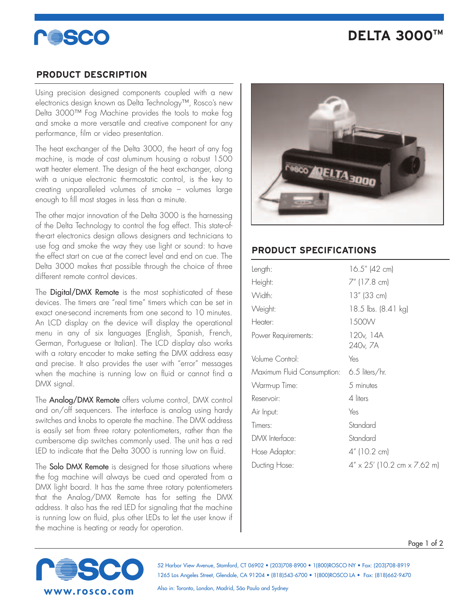# **COSCO**

## **DELTA 3000TM**

### **PRODUCT DESCRIPTION**

Using precision designed components coupled with a new electronics design known as Delta Technology™, Rosco's new Delta 3000™ Fog Machine provides the tools to make fog and smoke a more versatile and creative component for any performance, film or video presentation.

The heat exchanger of the Delta 3000, the heart of any fog machine, is made of cast aluminum housing a robust 1500 watt heater element. The design of the heat exchanger, along with a unique electronic thermostatic control, is the key to creating unparalleled volumes of smoke – volumes large enough to fill most stages in less than a minute.

The other major innovation of the Delta 3000 is the harnessing of the Delta Technology to control the fog effect. This state-ofthe-art electronics design allows designers and technicians to use fog and smoke the way they use light or sound: to have the effect start on cue at the correct level and end on cue. The Delta 3000 makes that possible through the choice of three different remote control devices.

The Digital/DMX Remote is the most sophisticated of these devices. The timers are "real time" timers which can be set in exact one-second increments from one second to 10 minutes. An LCD display on the device will display the operational menu in any of six languages (English, Spanish, French, German, Portuguese or Italian). The LCD display also works with a rotary encoder to make setting the DMX address easy and precise. It also provides the user with "error" messages when the machine is running low on fluid or cannot find a DMX signal.

The Analog/DMX Remote offers volume control, DMX control and on/off sequencers. The interface is analog using hardy switches and knobs to operate the machine. The DMX address is easily set from three rotary potentiometers, rather than the cumbersome dip switches commonly used. The unit has a red LED to indicate that the Delta 3000 is running low on fluid.

The **Solo DMX Remote** is designed for those situations where the fog machine will always be cued and operated from a DMX light board. It has the same three rotary potentiometers that the Analog/DMX Remote has for setting the DMX address. It also has the red LED for signaling that the machine is running low on fluid, plus other LEDs to let the user know if the machine is heating or ready for operation.



### **PRODUCT SPECIFICATIONS**

| $16.5''$ (42 cm)                                |
|-------------------------------------------------|
| 7" (17.8 cm)                                    |
| $13''$ (33 cm)                                  |
| 18.5 lbs. (8.41 kg)                             |
| 1500W                                           |
| 120 <sub>v</sub> , 14A<br>240 <sub>v</sub> , 7A |
| Yes                                             |
| $6.5$ liters/hr.<br>Maximum Fluid Consumption:  |
| 5 minutes                                       |
| 4 liters                                        |
| Yes                                             |
| Standard                                        |
| Standard                                        |
| 4" (10.2 cm)                                    |
| $4'' \times 25'$ (10.2 cm $\times$ 7.62 m)      |
|                                                 |



52 Harbor View Avenue, Stamford, CT 06902 • (203)708-8900 • 1(800)ROSCO NY • Fax: (203)708-8919 1265 Los Angeles Street, Glendale, CA 91204 • (818)543-6700 • 1(800)ROSCO LA • Fax: (818)662-9470